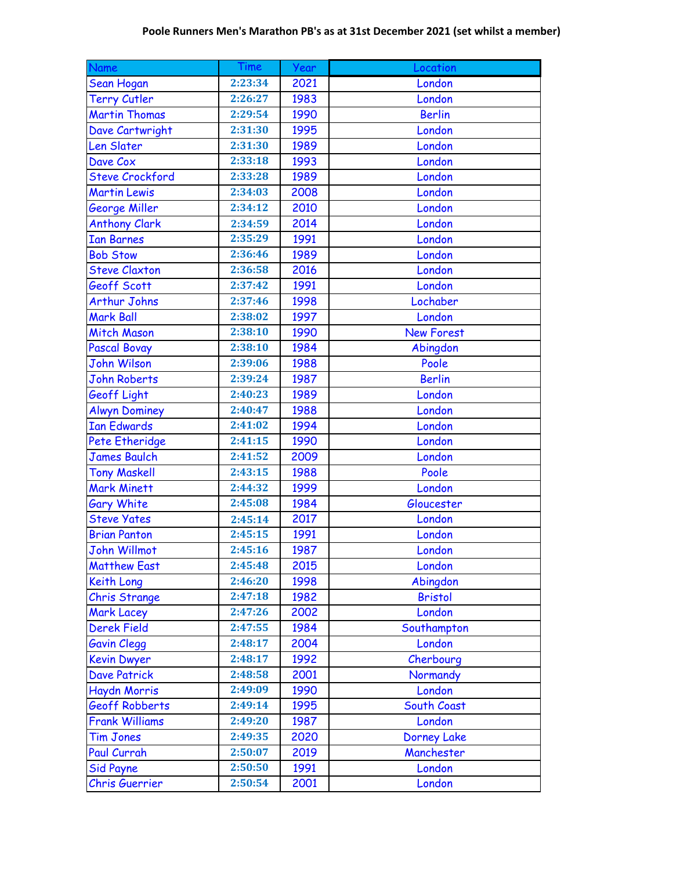| <b>Name</b>            | Time    | Year | Location           |
|------------------------|---------|------|--------------------|
| Sean Hogan             | 2:23:34 | 2021 | London             |
| <b>Terry Cutler</b>    | 2:26:27 | 1983 | London             |
| <b>Martin Thomas</b>   | 2:29:54 | 1990 | <b>Berlin</b>      |
| Dave Cartwright        | 2:31:30 | 1995 | London             |
| Len Slater             | 2:31:30 | 1989 | London             |
| Dave Cox               | 2:33:18 | 1993 | London             |
| <b>Steve Crockford</b> | 2:33:28 | 1989 | London             |
| <b>Martin Lewis</b>    | 2:34:03 | 2008 | London             |
| George Miller          | 2:34:12 | 2010 | London             |
| <b>Anthony Clark</b>   | 2:34:59 | 2014 | London             |
| <b>Ian Barnes</b>      | 2:35:29 | 1991 | London             |
| <b>Bob Stow</b>        | 2:36:46 | 1989 | London             |
| <b>Steve Claxton</b>   | 2:36:58 | 2016 | London             |
| Geoff Scott            | 2:37:42 | 1991 | London             |
| <b>Arthur Johns</b>    | 2:37:46 | 1998 | Lochaber           |
| <b>Mark Ball</b>       | 2:38:02 | 1997 | London             |
| <b>Mitch Mason</b>     | 2:38:10 | 1990 | <b>New Forest</b>  |
| <b>Pascal Bovay</b>    | 2:38:10 | 1984 | Abingdon           |
| <b>John Wilson</b>     | 2:39:06 | 1988 | Poole              |
| <b>John Roberts</b>    | 2:39:24 | 1987 | <b>Berlin</b>      |
| Geoff Light            | 2:40:23 | 1989 | London             |
| <b>Alwyn Dominey</b>   | 2:40:47 | 1988 | London             |
| <b>Ian Edwards</b>     | 2:41:02 | 1994 | London             |
| Pete Etheridge         | 2:41:15 | 1990 | London             |
| <b>James Baulch</b>    | 2:41:52 | 2009 | London             |
| <b>Tony Maskell</b>    | 2:43:15 | 1988 | Poole              |
| <b>Mark Minett</b>     | 2:44:32 | 1999 | London             |
| <b>Gary White</b>      | 2:45:08 | 1984 | Gloucester         |
| <b>Steve Yates</b>     | 2:45:14 | 2017 | London             |
| <b>Brian Panton</b>    | 2:45:15 | 1991 | London             |
| John Willmot           | 2:45:16 | 1987 | London             |
| <b>Matthew East</b>    | 2:45:48 | 2015 | London             |
| Keith Long             | 2:46:20 | 1998 | Abingdon           |
| Chris Strange          | 2:47:18 | 1982 | <b>Bristol</b>     |
| <b>Mark Lacey</b>      | 2:47:26 | 2002 | London             |
| <b>Derek Field</b>     | 2:47:55 | 1984 | Southampton        |
| <b>Gavin Clegg</b>     | 2:48:17 | 2004 | London             |
| <b>Kevin Dwyer</b>     | 2:48:17 | 1992 | Cherbourg          |
| <b>Dave Patrick</b>    | 2:48:58 | 2001 | Normandy           |
| Haydn Morris           | 2:49:09 | 1990 | London             |
| <b>Geoff Robberts</b>  | 2:49:14 | 1995 | South Coast        |
| <b>Frank Williams</b>  | 2:49:20 | 1987 | London             |
| <b>Tim Jones</b>       | 2:49:35 | 2020 | <b>Dorney Lake</b> |
| Paul Currah            | 2:50:07 | 2019 | Manchester         |
| <b>Sid Payne</b>       | 2:50:50 | 1991 | London             |
| Chris Guerrier         | 2:50:54 | 2001 | London             |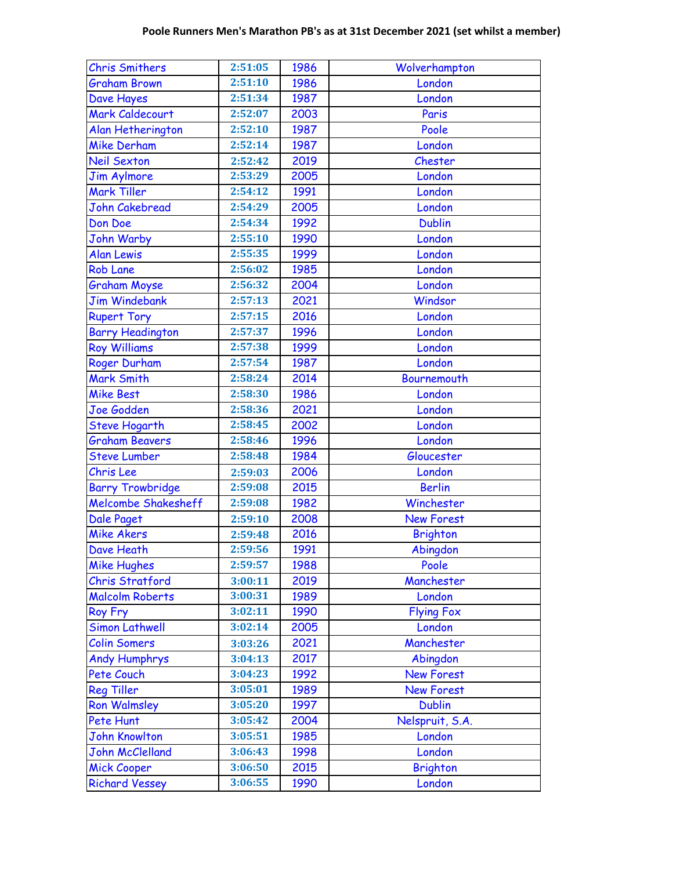| <b>Chris Smithers</b>      | 2:51:05 | 1986 | Wolverhampton     |
|----------------------------|---------|------|-------------------|
| <b>Graham Brown</b>        | 2:51:10 | 1986 | London            |
| Dave Hayes                 | 2:51:34 | 1987 | London            |
| Mark Caldecourt            | 2:52:07 | 2003 | Paris             |
| Alan Hetherington          | 2:52:10 | 1987 | Poole             |
| <b>Mike Derham</b>         | 2:52:14 | 1987 | London            |
| <b>Neil Sexton</b>         | 2:52:42 | 2019 | Chester           |
| <b>Jim Aylmore</b>         | 2:53:29 | 2005 | London            |
| Mark Tiller                | 2:54:12 | 1991 | London            |
| John Cakebread             | 2:54:29 | 2005 | London            |
| Don Doe                    | 2:54:34 | 1992 | <b>Dublin</b>     |
| <b>John Warby</b>          | 2:55:10 | 1990 | London            |
| <b>Alan Lewis</b>          | 2:55:35 | 1999 | London            |
| <b>Rob Lane</b>            | 2:56:02 | 1985 | London            |
| <b>Graham Moyse</b>        | 2:56:32 | 2004 | London            |
| <b>Jim Windebank</b>       | 2:57:13 | 2021 | Windsor           |
| <b>Rupert Tory</b>         | 2:57:15 | 2016 | London            |
| <b>Barry Headington</b>    | 2:57:37 | 1996 | London            |
| <b>Roy Williams</b>        | 2:57:38 | 1999 | London            |
| Roger Durham               | 2:57:54 | 1987 | London            |
| Mark Smith                 | 2:58:24 | 2014 | Bournemouth       |
| <b>Mike Best</b>           | 2:58:30 | 1986 | London            |
| Joe Godden                 | 2:58:36 | 2021 | London            |
| <b>Steve Hogarth</b>       | 2:58:45 | 2002 | London            |
| <b>Graham Beavers</b>      | 2:58:46 | 1996 | London            |
| <b>Steve Lumber</b>        | 2:58:48 | 1984 | Gloucester        |
| Chris Lee                  | 2:59:03 | 2006 | London            |
| <b>Barry Trowbridge</b>    | 2:59:08 | 2015 | <b>Berlin</b>     |
| <b>Melcombe Shakesheff</b> | 2:59:08 | 1982 | Winchester        |
| Dale Paget                 | 2:59:10 | 2008 | <b>New Forest</b> |
| <b>Mike Akers</b>          | 2:59:48 | 2016 | <b>Brighton</b>   |
| Dave Heath                 | 2:59:56 | 1991 | Abingdon          |
| <b>Mike Hughes</b>         | 2:59:57 | 1988 | Poole             |
| <b>Chris Stratford</b>     | 3:00:11 | 2019 | Manchester        |
| <b>Malcolm Roberts</b>     | 3:00:31 | 1989 | London            |
| Roy Fry                    | 3:02:11 | 1990 | <b>Flying Fox</b> |
| <b>Simon Lathwell</b>      | 3:02:14 | 2005 | London            |
| <b>Colin Somers</b>        | 3:03:26 | 2021 | Manchester        |
| <b>Andy Humphrys</b>       | 3:04:13 | 2017 | Abingdon          |
| Pete Couch                 | 3:04:23 | 1992 | <b>New Forest</b> |
| <b>Reg Tiller</b>          | 3:05:01 | 1989 | <b>New Forest</b> |
| <b>Ron Walmsley</b>        | 3:05:20 | 1997 | <b>Dublin</b>     |
| Pete Hunt                  | 3:05:42 | 2004 | Nelspruit, S.A.   |
| <b>John Knowlton</b>       | 3:05:51 | 1985 | London            |
| <b>John McClelland</b>     | 3:06:43 | 1998 | London            |
| <b>Mick Cooper</b>         | 3:06:50 | 2015 | <b>Brighton</b>   |
| <b>Richard Vessey</b>      | 3:06:55 | 1990 | London            |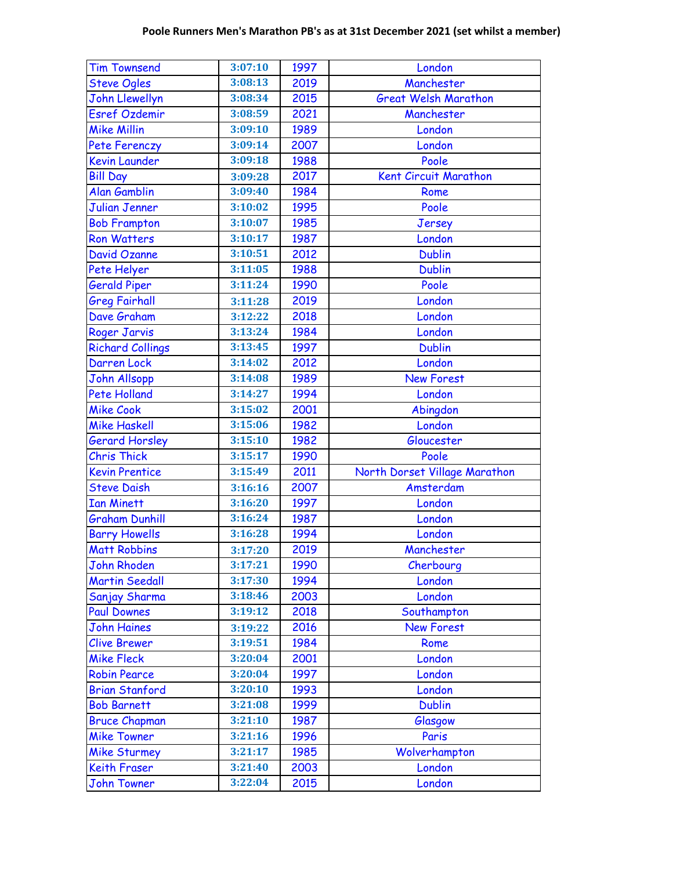| <b>Tim Townsend</b>                | 3:07:10            | 1997         | London                        |
|------------------------------------|--------------------|--------------|-------------------------------|
| <b>Steve Ogles</b>                 | 3:08:13            | 2019         | Manchester                    |
| John Llewellyn                     | 3:08:34            | 2015         | <b>Great Welsh Marathon</b>   |
| <b>Esref Ozdemir</b>               | 3:08:59            | 2021         | Manchester                    |
| <b>Mike Millin</b>                 | 3:09:10            | 1989         | London                        |
| Pete Ferenczy                      | 3:09:14            | 2007         | London                        |
| <b>Kevin Launder</b>               | 3:09:18            | 1988         | Poole                         |
| <b>Bill Day</b>                    | 3:09:28            | 2017         | Kent Circuit Marathon         |
| <b>Alan Gamblin</b>                | 3:09:40            | 1984         | Rome                          |
| <b>Julian Jenner</b>               | 3:10:02            | 1995         | Poole                         |
| <b>Bob Frampton</b>                | 3:10:07            | 1985         | Jersey                        |
| <b>Ron Watters</b>                 | 3:10:17            | 1987         | London                        |
| <b>David Ozanne</b>                | 3:10:51            | 2012         | <b>Dublin</b>                 |
| Pete Helyer                        | 3:11:05            | 1988         | <b>Dublin</b>                 |
| <b>Gerald Piper</b>                | 3:11:24            | 1990         | Poole                         |
| <b>Greg Fairhall</b>               | 3:11:28            | 2019         | London                        |
| Dave Graham                        | 3:12:22            | 2018         | London                        |
| <b>Roger Jarvis</b>                | 3:13:24            | 1984         | London                        |
| <b>Richard Collings</b>            | 3:13:45            | 1997         | <b>Dublin</b>                 |
| Darren Lock                        | 3:14:02            | 2012         | London                        |
| <b>John Allsopp</b>                | 3:14:08            | 1989         | <b>New Forest</b>             |
| <b>Pete Holland</b>                | 3:14:27            | 1994         | London                        |
| <b>Mike Cook</b>                   | 3:15:02            | 2001         | Abingdon                      |
| <b>Mike Haskell</b>                | 3:15:06            | 1982         | London                        |
| <b>Gerard Horsley</b>              | 3:15:10            | 1982         | Gloucester                    |
| <b>Chris Thick</b>                 | 3:15:17            | 1990         | Poole                         |
| <b>Kevin Prentice</b>              | 3:15:49            | 2011         | North Dorset Village Marathon |
| <b>Steve Daish</b>                 | 3:16:16            | 2007         | Amsterdam                     |
| <b>Ian Minett</b>                  | 3:16:20            | 1997         | London                        |
| <b>Graham Dunhill</b>              | 3:16:24            | 1987         | London                        |
| <b>Barry Howells</b>               |                    |              |                               |
|                                    | 3:16:28            | 1994         | London                        |
| <b>Matt Robbins</b>                | 3:17:20            | 2019         | Manchester                    |
| <b>John Rhoden</b>                 | 3:17:21            | 1990         | Cherbourg                     |
| <b>Martin Seedall</b>              | 3:17:30            | 1994         | London                        |
| Sanjay Sharma                      | 3:18:46            | 2003         | London                        |
| <b>Paul Downes</b>                 | 3:19:12            | 2018         | Southampton                   |
| <b>John Haines</b>                 | 3:19:22            | 2016         | <b>New Forest</b>             |
| <b>Clive Brewer</b>                | 3:19:51            | 1984         | Rome                          |
| <b>Mike Fleck</b>                  | 3:20:04            | 2001         | London                        |
| <b>Robin Pearce</b>                | 3:20:04            | 1997         | London                        |
| <b>Brian Stanford</b>              | 3:20:10            | 1993         | London                        |
| <b>Bob Barnett</b>                 | 3:21:08            | 1999         | <b>Dublin</b>                 |
| <b>Bruce Chapman</b>               | 3:21:10            | 1987         | Glasgow                       |
| <b>Mike Towner</b>                 | 3:21:16            | 1996         | Paris                         |
| <b>Mike Sturmey</b>                | 3:21:17            | 1985         | Wolverhampton                 |
| Keith Fraser<br><b>John Towner</b> | 3:21:40<br>3:22:04 | 2003<br>2015 | London<br>London              |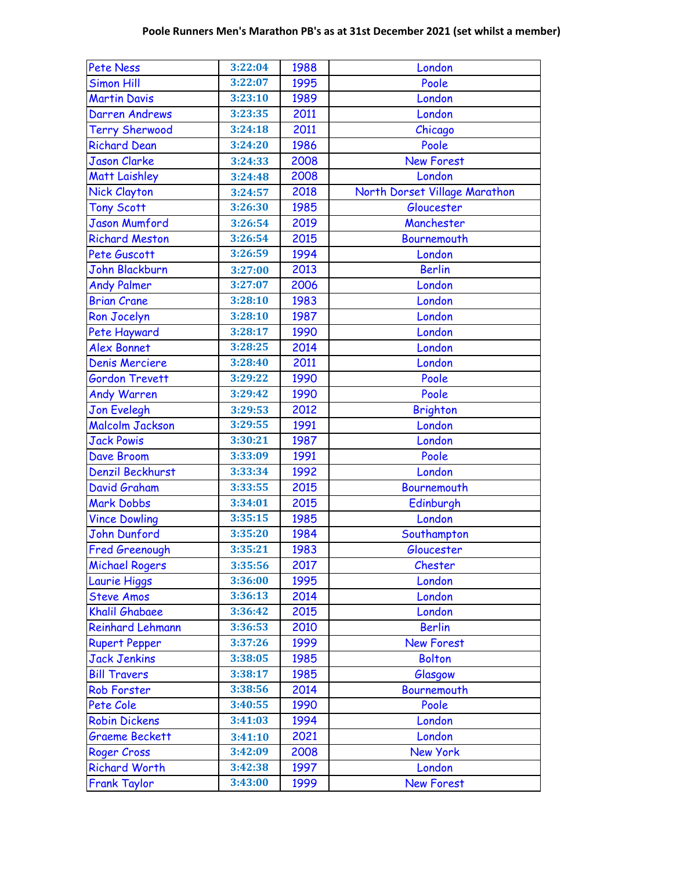| <b>Pete Ness</b>        | 3:22:04 | 1988 | London                        |
|-------------------------|---------|------|-------------------------------|
| <b>Simon Hill</b>       | 3:22:07 | 1995 | Poole                         |
| <b>Martin Davis</b>     | 3:23:10 | 1989 | London                        |
| Darren Andrews          | 3:23:35 | 2011 | London                        |
| <b>Terry Sherwood</b>   | 3:24:18 | 2011 | Chicago                       |
| <b>Richard Dean</b>     | 3:24:20 | 1986 | Poole                         |
| <b>Jason Clarke</b>     | 3:24:33 | 2008 | <b>New Forest</b>             |
| <b>Matt Laishley</b>    | 3:24:48 | 2008 | London                        |
| <b>Nick Clayton</b>     | 3:24:57 | 2018 | North Dorset Village Marathon |
| <b>Tony Scott</b>       | 3:26:30 | 1985 | Gloucester                    |
| <b>Jason Mumford</b>    | 3:26:54 | 2019 | Manchester                    |
| Richard Meston          | 3:26:54 | 2015 | Bournemouth                   |
| Pete Guscott            | 3:26:59 | 1994 | London                        |
| <b>John Blackburn</b>   | 3:27:00 | 2013 | <b>Berlin</b>                 |
| <b>Andy Palmer</b>      | 3:27:07 | 2006 | London                        |
| <b>Brian Crane</b>      | 3:28:10 | 1983 | London                        |
| Ron Jocelyn             | 3:28:10 | 1987 | London                        |
| Pete Hayward            | 3:28:17 | 1990 | London                        |
| <b>Alex Bonnet</b>      | 3:28:25 | 2014 | London                        |
| <b>Denis Merciere</b>   | 3:28:40 | 2011 | London                        |
| <b>Gordon Trevett</b>   | 3:29:22 | 1990 | Poole                         |
| <b>Andy Warren</b>      | 3:29:42 | 1990 | Poole                         |
| <b>Jon Evelegh</b>      | 3:29:53 | 2012 | <b>Brighton</b>               |
| <b>Malcolm Jackson</b>  | 3:29:55 | 1991 | London                        |
| <b>Jack Powis</b>       | 3:30:21 | 1987 | London                        |
| Dave Broom              | 3:33:09 | 1991 | Poole                         |
| Denzil Beckhurst        | 3:33:34 | 1992 | London                        |
| David Graham            | 3:33:55 | 2015 | Bournemouth                   |
| <b>Mark Dobbs</b>       | 3:34:01 | 2015 | Edinburgh                     |
| <b>Vince Dowling</b>    | 3:35:15 | 1985 | London                        |
| John Dunford            | 3:35:20 | 1984 | Southampton                   |
| <b>Fred Greenough</b>   | 3:35:21 | 1983 | Gloucester                    |
| <b>Michael Rogers</b>   | 3:35:56 | 2017 | Chester                       |
| Laurie Higgs            | 3:36:00 | 1995 | London                        |
| <b>Steve Amos</b>       | 3:36:13 | 2014 | London                        |
| <b>Khalil Ghabaee</b>   | 3:36:42 | 2015 | London                        |
| <b>Reinhard Lehmann</b> | 3:36:53 | 2010 | <b>Berlin</b>                 |
| <b>Rupert Pepper</b>    | 3:37:26 | 1999 | <b>New Forest</b>             |
| <b>Jack Jenkins</b>     | 3:38:05 | 1985 | <b>Bolton</b>                 |
| <b>Bill Travers</b>     | 3:38:17 | 1985 | Glasgow                       |
| <b>Rob Forster</b>      | 3:38:56 | 2014 | Bournemouth                   |
| Pete Cole               | 3:40:55 | 1990 | Poole                         |
| <b>Robin Dickens</b>    | 3:41:03 | 1994 | London                        |
| <b>Graeme Beckett</b>   | 3:41:10 | 2021 | London                        |
| Roger Cross             | 3:42:09 | 2008 | New York                      |
| <b>Richard Worth</b>    | 3:42:38 | 1997 | London                        |
| <b>Frank Taylor</b>     | 3:43:00 | 1999 | New Forest                    |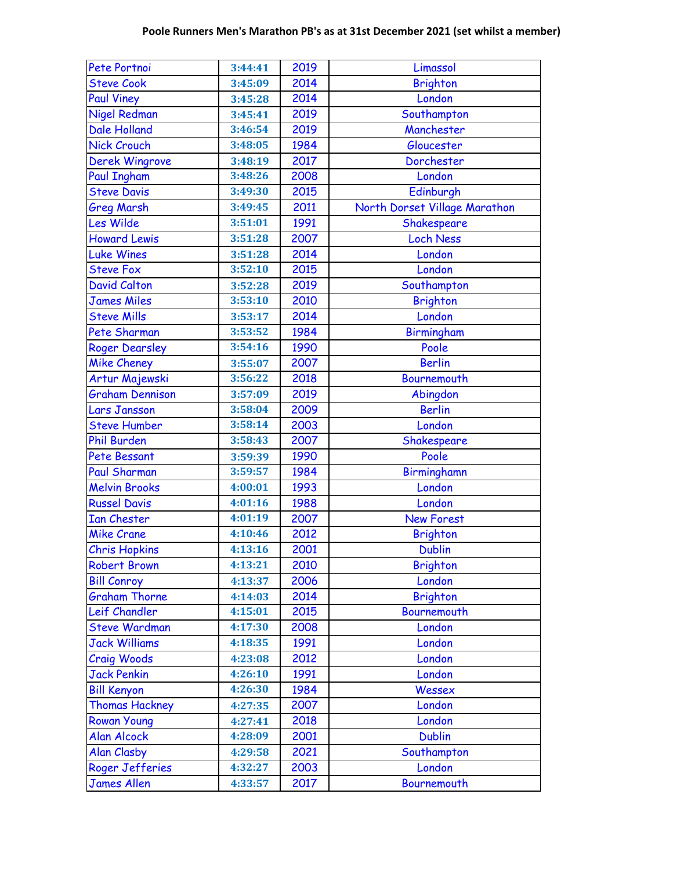| Pete Portnoi           | 3:44:41              | 2019 | Limassol                      |
|------------------------|----------------------|------|-------------------------------|
| <b>Steve Cook</b>      | 3:45:09              | 2014 | <b>Brighton</b>               |
| <b>Paul Viney</b>      | 3:45:28              | 2014 | London                        |
| <b>Nigel Redman</b>    | 3:45:41              | 2019 | Southampton                   |
| <b>Dale Holland</b>    | 3:46:54              | 2019 | Manchester                    |
| <b>Nick Crouch</b>     | 3:48:05              | 1984 | Gloucester                    |
| Derek Wingrove         | 3:48:19              | 2017 | Dorchester                    |
| <b>Paul Ingham</b>     | 3:48:26              | 2008 | London                        |
| <b>Steve Davis</b>     | 3:49:30              | 2015 | Edinburgh                     |
| <b>Greg Marsh</b>      | 3:49:45              | 2011 | North Dorset Village Marathon |
| Les Wilde              | 3:51:01              | 1991 | Shakespeare                   |
| <b>Howard Lewis</b>    | 3:51:28              | 2007 | <b>Loch Ness</b>              |
| Luke Wines             | 3:51:28              | 2014 | London                        |
| <b>Steve Fox</b>       | 3:52:10              | 2015 | London                        |
| <b>David Calton</b>    | 3:52:28              | 2019 | Southampton                   |
| <b>James Miles</b>     | 3:53:10              | 2010 | <b>Brighton</b>               |
| <b>Steve Mills</b>     | 3:53:17              | 2014 | London                        |
| Pete Sharman           | 3:53:52              | 1984 | Birmingham                    |
| <b>Roger Dearsley</b>  | 3:54:16              | 1990 | Poole                         |
| <b>Mike Cheney</b>     | 3:55:07              | 2007 | <b>Berlin</b>                 |
| Artur Majewski         | 3:56:22              | 2018 | Bournemouth                   |
| <b>Graham Dennison</b> | 3:57:09              | 2019 | Abingdon                      |
| Lars Jansson           | 3:58:04              | 2009 | <b>Berlin</b>                 |
| <b>Steve Humber</b>    | 3:58:14              | 2003 | London                        |
| <b>Phil Burden</b>     | 3:58:43              | 2007 | Shakespeare                   |
| Pete Bessant           | 3:59:39              | 1990 | Poole                         |
| <b>Paul Sharman</b>    | 3:59:57              | 1984 | Birminghamn                   |
| <b>Melvin Brooks</b>   | 4:00:01              | 1993 | London                        |
| <b>Russel Davis</b>    | 4:01:16              | 1988 | London                        |
| <b>Ian Chester</b>     | 4:01:19              | 2007 | <b>New Forest</b>             |
| <b>Mike Crane</b>      | 4:10:46              | 2012 | <b>Brighton</b>               |
| <b>Chris Hopkins</b>   | 4:13:16              | 2001 | <b>Dublin</b>                 |
| <b>Robert Brown</b>    | 4:13:21              | 2010 | <b>Brighton</b>               |
| <b>Bill Conroy</b>     | 4:13:37              | 2006 | London                        |
| <b>Graham Thorne</b>   | 4:14:03              | 2014 | <b>Brighton</b>               |
| Leif Chandler          | $\overline{4:}15:01$ | 2015 | Bournemouth                   |
| <b>Steve Wardman</b>   | 4:17:30              | 2008 | London                        |
| <b>Jack Williams</b>   | 4:18:35              | 1991 | London                        |
| <b>Craig Woods</b>     | 4:23:08              | 2012 | London                        |
| <b>Jack Penkin</b>     | 4:26:10              | 1991 | London                        |
| <b>Bill Kenyon</b>     | 4:26:30              | 1984 | Wessex                        |
| <b>Thomas Hackney</b>  | 4:27:35              | 2007 | London                        |
| <b>Rowan Young</b>     | 4:27:41              | 2018 | London                        |
| <b>Alan Alcock</b>     | 4:28:09              | 2001 | <b>Dublin</b>                 |
| <b>Alan Clasby</b>     | 4:29:58              | 2021 | Southampton                   |
| Roger Jefferies        | 4:32:27              | 2003 | London                        |
| <b>James Allen</b>     | 4:33:57              | 2017 | <b>Bournemouth</b>            |